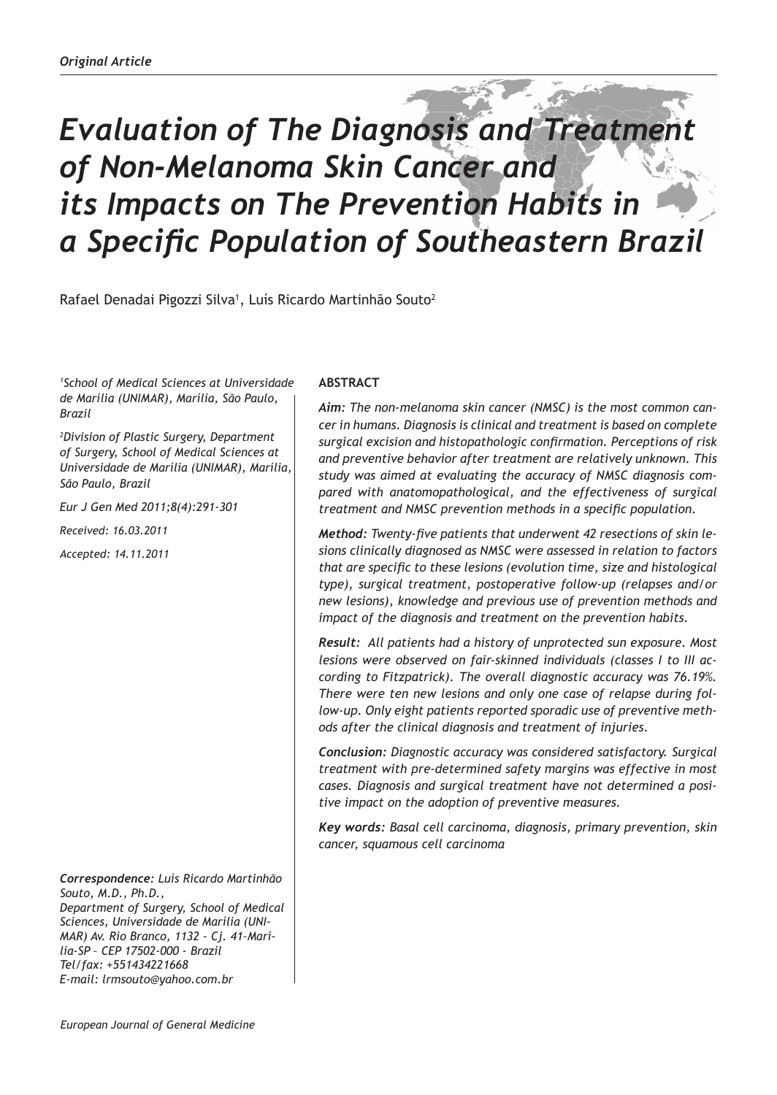# *Evaluation of The Diagnosis and Treatment of Non-Melanoma Skin Cancer and its Impacts on The Prevention Habits in a Specific Population of Southeastern Brazil*

Rafael Denadai Pigozzi Silva<sup>1</sup>, Luís Ricardo Martinhão Souto<sup>2</sup>

*1 School of Medical Sciences at Universidade de Marília (UNIMAR), Marília, São Paulo, Brazil* 

*2 Division of Plastic Surgery, Department of Surgery, School of Medical Sciences at Universidade de Marília (UNIMAR), Marília, São Paulo, Brazil*

*Eur J Gen Med 2011;8(4):291-301*

*Received: 16.03.2011*

*Accepted: 14.11.2011*

*Correspondence: Luís Ricardo Martinhão Souto, M.D., Ph.D., Department of Surgery, School of Medical Sciences, Universidade de Marília (UNI-MAR) Av. Rio Branco, 1132 - Cj. 41–Marília-SP – CEP 17502-000 - Brazil Tel/fax: +551434221668 E-mail: lrmsouto@yahoo.com.br* 

# **ABSTRACT**

*Aim: The non-melanoma skin cancer (NMSC) is the most common cancer in humans. Diagnosis is clinical and treatment is based on complete surgical excision and histopathologic confirmation. Perceptions of risk and preventive behavior after treatment are relatively unknown. This study was aimed at evaluating the accuracy of NMSC diagnosis compared with anatomopathological, and the effectiveness of surgical treatment and NMSC prevention methods in a specific population.* 

*Method: Twenty-five patients that underwent 42 resections of skin lesions clinically diagnosed as NMSC were assessed in relation to factors that are specific to these lesions (evolution time, size and histological type), surgical treatment, postoperative follow-up (relapses and/or new lesions), knowledge and previous use of prevention methods and impact of the diagnosis and treatment on the prevention habits.*

*Result: All patients had a history of unprotected sun exposure. Most lesions were observed on fair-skinned individuals (classes I to III according to Fitzpatrick). The overall diagnostic accuracy was 76.19%. There were ten new lesions and only one case of relapse during follow-up. Only eight patients reported sporadic use of preventive methods after the clinical diagnosis and treatment of injuries.* 

*Conclusion: Diagnostic accuracy was considered satisfactory. Surgical treatment with pre-determined safety margins was effective in most cases. Diagnosis and surgical treatment have not determined a positive impact on the adoption of preventive measures.*

*Key words: Basal cell carcinoma, diagnosis, primary prevention, skin cancer, squamous cell carcinoma*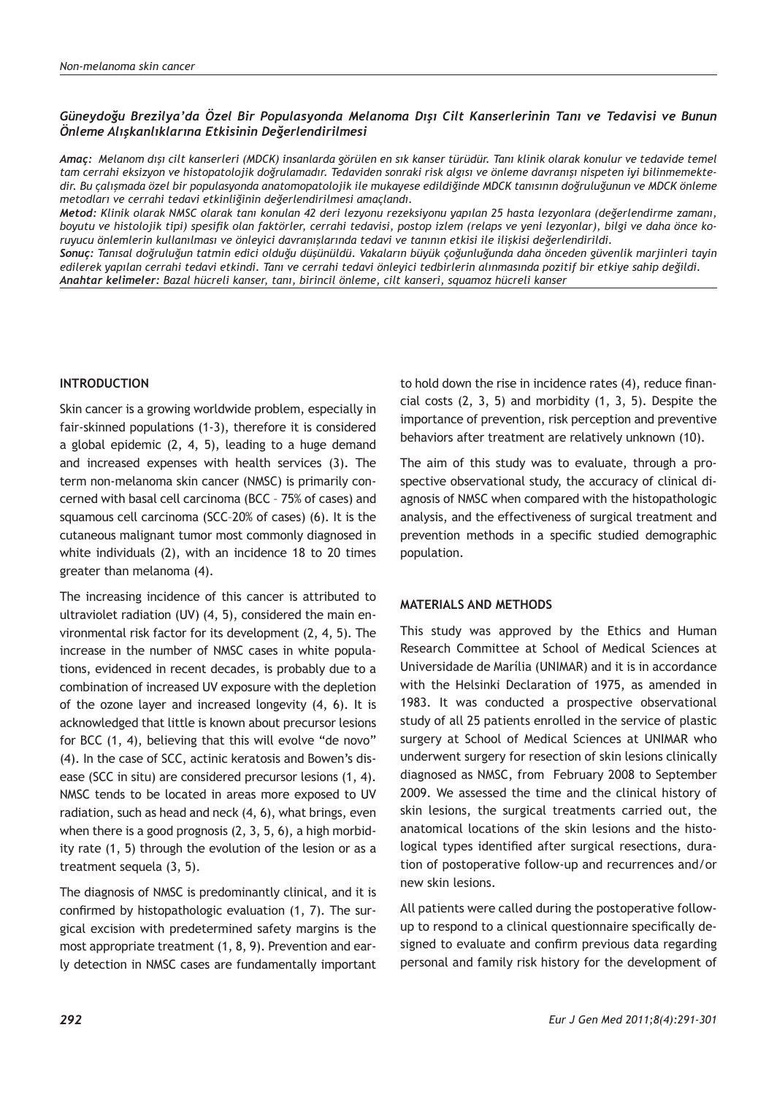# *Güneydoğu Brezilya'da Özel Bir Populasyonda Melanoma Dışı Cilt Kanserlerinin Tanı ve Tedavisi ve Bunun Önleme Alışkanlıklarına Etkisinin Değerlendirilmesi*

*Amaç: Melanom dışı cilt kanserleri (MDCK) insanlarda görülen en sık kanser türüdür. Tanı klinik olarak konulur ve tedavide temel tam cerrahi eksizyon ve histopatolojik doğrulamadır. Tedaviden sonraki risk algısı ve önleme davranışı nispeten iyi bilinmemektedir. Bu çalışmada özel bir populasyonda anatomopatolojik ile mukayese edildiğinde MDCK tanısının doğruluğunun ve MDCK önleme metodları ve cerrahi tedavi etkinliğinin değerlendirilmesi amaçlandı.*

*Metod: Klinik olarak NMSC olarak tanı konulan 42 deri lezyonu rezeksiyonu yapılan 25 hasta lezyonlara (değerlendirme zamanı, boyutu ve histolojik tipi) spesifik olan faktörler, cerrahi tedavisi, postop izlem (relaps ve yeni lezyonlar), bilgi ve daha önce koruyucu önlemlerin kullanılması ve önleyici davranışlarında tedavi ve tanının etkisi ile ilişkisi değerlendirildi.*

*Sonuç: Tanısal doğruluğun tatmin edici olduğu düşünüldü. Vakaların büyük çoğunluğunda daha önceden güvenlik marjinleri tayin edilerek yapılan cerrahi tedavi etkindi. Tanı ve cerrahi tedavi önleyici tedbirlerin alınmasında pozitif bir etkiye sahip değildi. Anahtar kelimeler: Bazal hücreli kanser, tanı, birincil önleme, cilt kanseri, squamoz hücreli kanser*

# **INTRODUCTION**

Skin cancer is a growing worldwide problem, especially in fair-skinned populations (1-3), therefore it is considered a global epidemic (2, 4, 5), leading to a huge demand and increased expenses with health services (3). The term non-melanoma skin cancer (NMSC) is primarily concerned with basal cell carcinoma (BCC – 75% of cases) and squamous cell carcinoma (SCC–20% of cases) (6). It is the cutaneous malignant tumor most commonly diagnosed in white individuals (2), with an incidence 18 to 20 times greater than melanoma (4).

The increasing incidence of this cancer is attributed to ultraviolet radiation (UV) (4, 5), considered the main environmental risk factor for its development (2, 4, 5). The increase in the number of NMSC cases in white populations, evidenced in recent decades, is probably due to a combination of increased UV exposure with the depletion of the ozone layer and increased longevity (4, 6). It is acknowledged that little is known about precursor lesions for BCC (1, 4), believing that this will evolve "de novo" (4). In the case of SCC, actinic keratosis and Bowen's disease (SCC in situ) are considered precursor lesions (1, 4). NMSC tends to be located in areas more exposed to UV radiation, such as head and neck (4, 6), what brings, even when there is a good prognosis (2, 3, 5, 6), a high morbidity rate (1, 5) through the evolution of the lesion or as a treatment sequela (3, 5).

The diagnosis of NMSC is predominantly clinical, and it is confirmed by histopathologic evaluation (1, 7). The surgical excision with predetermined safety margins is the most appropriate treatment (1, 8, 9). Prevention and early detection in NMSC cases are fundamentally important to hold down the rise in incidence rates (4), reduce financial costs (2, 3, 5) and morbidity (1, 3, 5). Despite the importance of prevention, risk perception and preventive behaviors after treatment are relatively unknown (10).

The aim of this study was to evaluate, through a prospective observational study, the accuracy of clinical diagnosis of NMSC when compared with the histopathologic analysis, and the effectiveness of surgical treatment and prevention methods in a specific studied demographic population.

### **MATERIALS AND METHODS**

This study was approved by the Ethics and Human Research Committee at School of Medical Sciences at Universidade de Marília (UNIMAR) and it is in accordance with the Helsinki Declaration of 1975, as amended in 1983. It was conducted a prospective observational study of all 25 patients enrolled in the service of plastic surgery at School of Medical Sciences at UNIMAR who underwent surgery for resection of skin lesions clinically diagnosed as NMSC, from February 2008 to September 2009. We assessed the time and the clinical history of skin lesions, the surgical treatments carried out, the anatomical locations of the skin lesions and the histological types identified after surgical resections, duration of postoperative follow-up and recurrences and/or new skin lesions.

All patients were called during the postoperative followup to respond to a clinical questionnaire specifically designed to evaluate and confirm previous data regarding personal and family risk history for the development of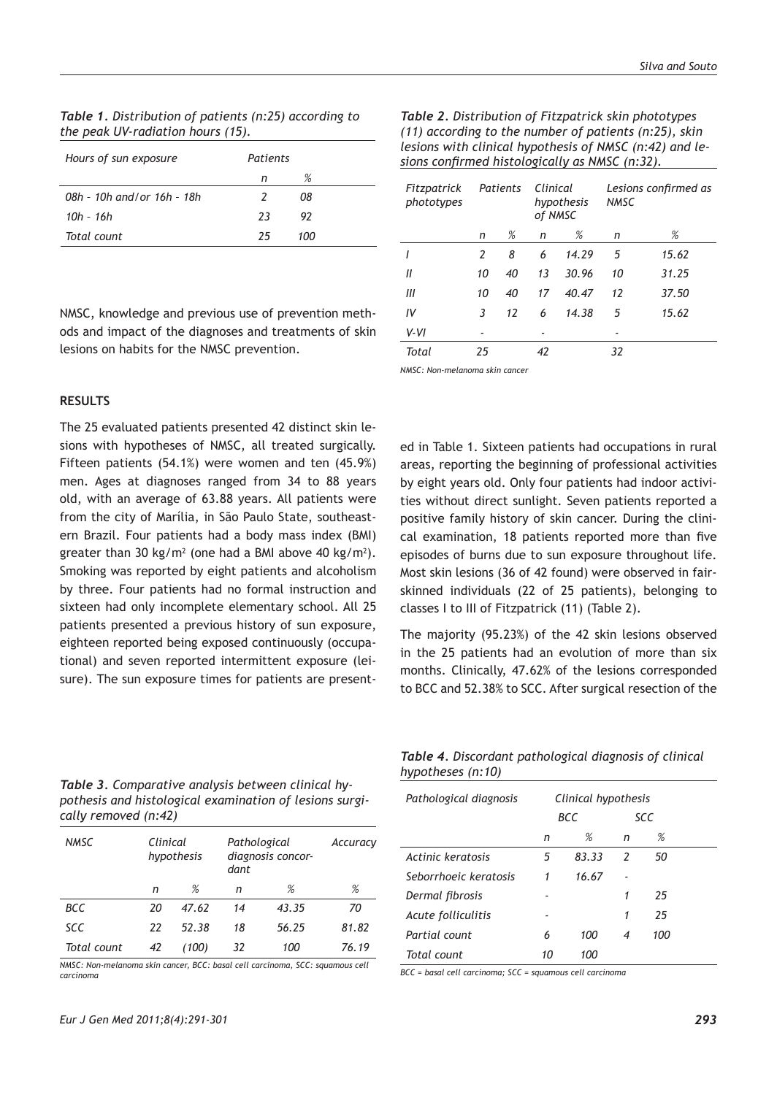| <b>Table 1.</b> Distribution of patients (n:25) according to |  |  |
|--------------------------------------------------------------|--|--|
| the peak UV-radiation hours (15).                            |  |  |
|                                                              |  |  |

*Table 2. Distribution of Fitzpatrick skin phototypes (11) according to the number of patients (n:25), skin lesions with clinical hypothesis of NMSC (n:42) and lesions confirmed histologically as NMSC (n:32).*

| Hours of sun exposure      | Patients |     |  |
|----------------------------|----------|-----|--|
|                            | n        | %   |  |
| 08h - 10h and/or 16h - 18h | 2        | 08  |  |
| $10h - 16h$                | 23       | 92  |  |
| Total count                | 25       | 100 |  |
|                            |          |     |  |

NMSC, knowledge and previous use of prevention methods and impact of the diagnoses and treatments of skin lesions on habits for the NMSC prevention.

| Fitzpatrick<br>phototypes | Patients |    | Clinical<br>of NMSC | hypothesis | <b>NMSC</b> | Lesions confirmed as |
|---------------------------|----------|----|---------------------|------------|-------------|----------------------|
|                           | n        | %  | n                   | %          | n           | %                    |
|                           | 2        | 8  | 6                   | 14.29      | 5           | 15.62                |
| Ш                         | 10       | 40 | 13                  | 30.96      | 10          | 31.25                |
| III                       | 10       | 40 | 17                  | 40.47      | 12          | 37.50                |
| IV                        | 3        | 12 | 6                   | 14.38      | 5           | 15.62                |
| $V - VI$                  |          |    |                     |            |             |                      |
| Total                     | 25       |    | 42                  |            | 32          |                      |

*NMSC: Non-melanoma skin cancer*

### **RESULTS**

The 25 evaluated patients presented 42 distinct skin lesions with hypotheses of NMSC, all treated surgically. Fifteen patients (54.1%) were women and ten (45.9%) men. Ages at diagnoses ranged from 34 to 88 years old, with an average of 63.88 years. All patients were from the city of Marília, in São Paulo State, southeastern Brazil. Four patients had a body mass index (BMI) greater than 30 kg/m<sup>2</sup> (one had a BMI above 40 kg/m<sup>2</sup>). Smoking was reported by eight patients and alcoholism by three. Four patients had no formal instruction and sixteen had only incomplete elementary school. All 25 patients presented a previous history of sun exposure, eighteen reported being exposed continuously (occupational) and seven reported intermittent exposure (leisure). The sun exposure times for patients are present-

ed in Table 1. Sixteen patients had occupations in rural areas, reporting the beginning of professional activities by eight years old. Only four patients had indoor activities without direct sunlight. Seven patients reported a positive family history of skin cancer. During the clinical examination, 18 patients reported more than five episodes of burns due to sun exposure throughout life. Most skin lesions (36 of 42 found) were observed in fairskinned individuals (22 of 25 patients), belonging to classes I to III of Fitzpatrick (11) (Table 2).

The majority (95.23%) of the 42 skin lesions observed in the 25 patients had an evolution of more than six months. Clinically, 47.62% of the lesions corresponded to BCC and 52.38% to SCC. After surgical resection of the

| Table 3. Comparative analysis between clinical hy-      |
|---------------------------------------------------------|
| pothesis and histological examination of lesions surgi- |
| cally removed (n:42)                                    |

| <b>NMSC</b> | Clinical<br>hypothesis |       | Pathological<br>dant | diagnosis concor- | Accuracy |
|-------------|------------------------|-------|----------------------|-------------------|----------|
|             | n                      | %     | n                    | %                 | %        |
| BCC         | 20                     | 47.62 | 14                   | 43.35             | 70       |
| <b>SCC</b>  | 22                     | 52.38 | 18                   | 56.25             | 81.82    |
| Total count | 42                     | (100) | 32                   | 100               | 76.19    |

*NMSC: Non-melanoma skin cancer, BCC: basal cell carcinoma, SCC: squamous cell carcinoma*

*Table 4. Discordant pathological diagnosis of clinical hypotheses (n:10)*

| Pathological diagnosis | Clinical hypothesis<br>BCC |       | <b>SCC</b>    |     |  |
|------------------------|----------------------------|-------|---------------|-----|--|
|                        | n                          | %     | n             | %   |  |
| Actinic keratosis      | 5                          | 83.33 | $\mathcal{L}$ | 50  |  |
| Seborrhoeic keratosis  | 1                          | 16.67 |               |     |  |
| Dermal fibrosis        |                            |       | 1             | 25  |  |
| Acute folliculitis     |                            |       | 1             | 25  |  |
| Partial count          | 6                          | 100   | 4             | 100 |  |
| Total count            | 10                         | 100   |               |     |  |

*BCC = basal cell carcinoma; SCC = squamous cell carcinoma*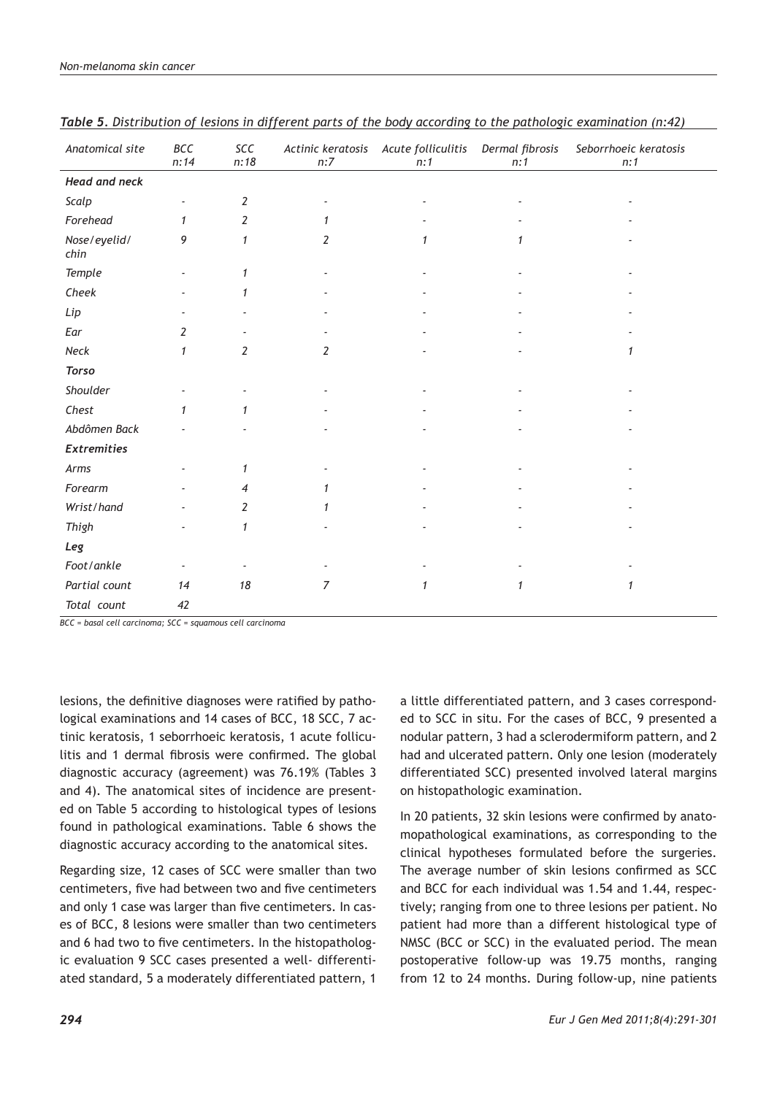| Anatomical site      | BCC<br>n:14  | SCC<br>n:18    | Actinic keratosis<br>n:7 | Acute folliculitis<br>n:1 | Dermal fibrosis<br>n:1 | Seborrhoeic keratosis<br>n:1 |
|----------------------|--------------|----------------|--------------------------|---------------------------|------------------------|------------------------------|
| <b>Head and neck</b> |              |                |                          |                           |                        |                              |
| Scalp                |              | 2              |                          |                           |                        |                              |
| Forehead             | $\mathbf{1}$ | $\overline{2}$ | 1                        |                           |                        |                              |
| Nose/eyelid/<br>chin | 9            | $\mathbf{1}$   | 2                        | $\mathbf{1}$              | 1                      |                              |
| Temple               |              | $\mathbf{1}$   |                          |                           |                        |                              |
| Cheek                |              | 1              |                          |                           |                        |                              |
| Lip                  |              |                |                          |                           |                        |                              |
| Ear                  | 2            |                |                          |                           |                        |                              |
| Neck                 | $\mathbf{1}$ | 2              | 2                        |                           |                        | 1                            |
| <b>Torso</b>         |              |                |                          |                           |                        |                              |
| Shoulder             |              |                |                          |                           |                        |                              |
| Chest                | 1            | 1              |                          |                           |                        |                              |
| Abdômen Back         |              |                |                          |                           |                        |                              |
| <b>Extremities</b>   |              |                |                          |                           |                        |                              |
| Arms                 |              | 1              |                          |                           |                        |                              |
| Forearm              |              | 4              |                          |                           |                        |                              |
| Wrist/hand           |              | $\overline{2}$ |                          |                           |                        |                              |
| Thigh                |              | $\mathbf{1}$   |                          |                           |                        |                              |
| Leg                  |              |                |                          |                           |                        |                              |
| Foot/ankle           |              |                |                          |                           |                        |                              |
| Partial count        | 14           | 18             | 7                        | 1                         | 1                      | 1                            |
| Total count          | 42           |                |                          |                           |                        |                              |

*Table 5. Distribution of lesions in different parts of the body according to the pathologic examination (n:42)*

*BCC = basal cell carcinoma; SCC = squamous cell carcinoma*

lesions, the definitive diagnoses were ratified by pathological examinations and 14 cases of BCC, 18 SCC, 7 actinic keratosis, 1 seborrhoeic keratosis, 1 acute folliculitis and 1 dermal fibrosis were confirmed. The global diagnostic accuracy (agreement) was 76.19% (Tables 3 and 4). The anatomical sites of incidence are presented on Table 5 according to histological types of lesions found in pathological examinations. Table 6 shows the diagnostic accuracy according to the anatomical sites.

Regarding size, 12 cases of SCC were smaller than two centimeters, five had between two and five centimeters and only 1 case was larger than five centimeters. In cases of BCC, 8 lesions were smaller than two centimeters and 6 had two to five centimeters. In the histopathologic evaluation 9 SCC cases presented a well- differentiated standard, 5 a moderately differentiated pattern, 1

a little differentiated pattern, and 3 cases corresponded to SCC in situ. For the cases of BCC, 9 presented a nodular pattern, 3 had a sclerodermiform pattern, and 2 had and ulcerated pattern. Only one lesion (moderately differentiated SCC) presented involved lateral margins on histopathologic examination.

In 20 patients, 32 skin lesions were confirmed by anatomopathological examinations, as corresponding to the clinical hypotheses formulated before the surgeries. The average number of skin lesions confirmed as SCC and BCC for each individual was 1.54 and 1.44, respectively; ranging from one to three lesions per patient. No patient had more than a different histological type of NMSC (BCC or SCC) in the evaluated period. The mean postoperative follow-up was 19.75 months, ranging from 12 to 24 months. During follow-up, nine patients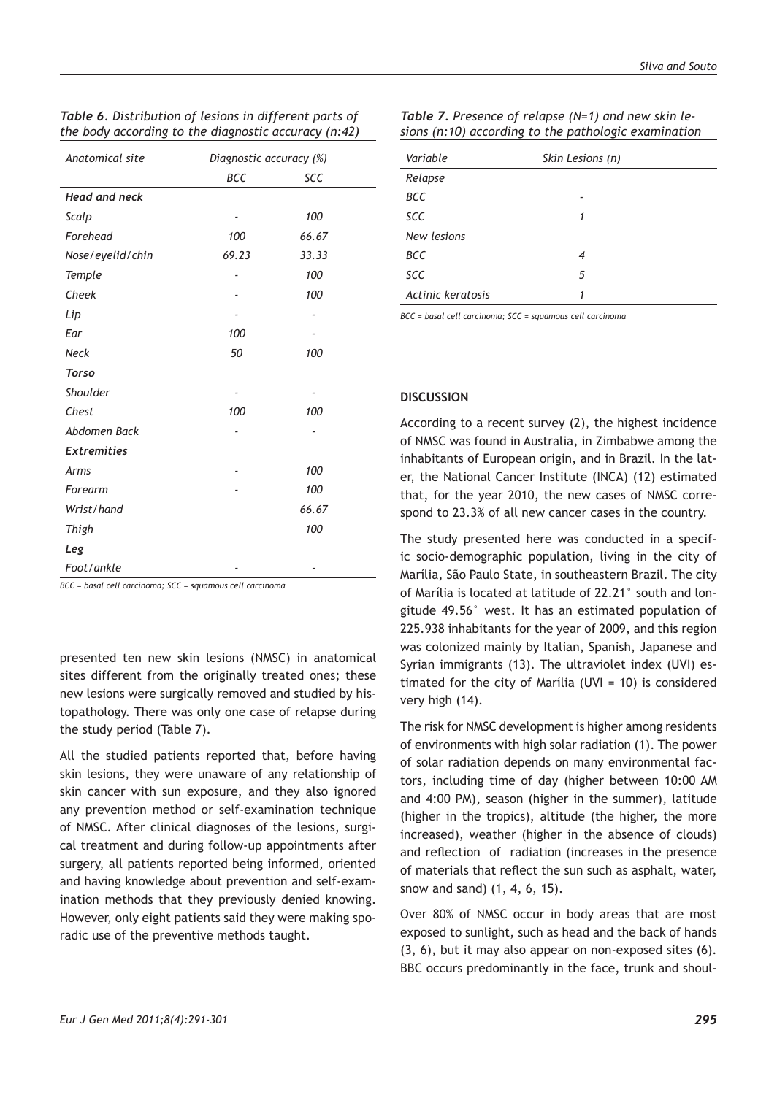| <b>BCC</b>           |       |       |
|----------------------|-------|-------|
|                      |       | SCC   |
| <b>Head and neck</b> |       |       |
| Scalp                | ٠     | 100   |
| Forehead             | 100   | 66.67 |
| Nose/eyelid/chin     | 69.23 | 33.33 |
| <b>Temple</b>        |       | 100   |
| Cheek                |       | 100   |
| Lip                  |       |       |
| Ear                  | 100   |       |
| <b>Neck</b>          | 50    | 100   |
| <b>Torso</b>         |       |       |
| Shoulder             |       |       |
| Chest                | 100   | 100   |
| Abdomen Back         |       |       |
| <b>Extremities</b>   |       |       |
| Arms                 |       | 100   |
| Forearm              |       | 100   |
| Wrist/hand           |       | 66.67 |
| Thigh                |       | 100   |
| Leg                  |       |       |
| Foot/ankle           |       |       |

| Table 6. Distribution of lesions in different parts of |  |  |
|--------------------------------------------------------|--|--|
| the body according to the diagnostic accuracy (n:42)   |  |  |

*BCC = basal cell carcinoma; SCC = squamous cell carcinoma*

presented ten new skin lesions (NMSC) in anatomical sites different from the originally treated ones; these new lesions were surgically removed and studied by histopathology. There was only one case of relapse during the study period (Table 7).

All the studied patients reported that, before having skin lesions, they were unaware of any relationship of skin cancer with sun exposure, and they also ignored any prevention method or self-examination technique of NMSC. After clinical diagnoses of the lesions, surgical treatment and during follow-up appointments after surgery, all patients reported being informed, oriented and having knowledge about prevention and self-examination methods that they previously denied knowing. However, only eight patients said they were making sporadic use of the preventive methods taught.

| Variable          | Skin Lesions (n) |
|-------------------|------------------|
| Relapse           |                  |
| <b>BCC</b>        |                  |
| <b>SCC</b>        | 1                |
| New lesions       |                  |
| BCC               | 4                |
| SCC               | 5                |
| Actinic keratosis | 1                |

*Table 7. Presence of relapse (N=1) and new skin lesions (n:10) according to the pathologic examination*

*BCC = basal cell carcinoma; SCC = squamous cell carcinoma*

#### **DISCUSSION**

According to a recent survey (2), the highest incidence of NMSC was found in Australia, in Zimbabwe among the inhabitants of European origin, and in Brazil. In the later, the National Cancer Institute (INCA) (12) estimated that, for the year 2010, the new cases of NMSC correspond to 23.3% of all new cancer cases in the country.

The study presented here was conducted in a specific socio-demographic population, living in the city of Marília, São Paulo State, in southeastern Brazil. The city of Marília is located at latitude of 22.21° south and longitude 49.56° west. It has an estimated population of 225.938 inhabitants for the year of 2009, and this region was colonized mainly by Italian, Spanish, Japanese and Syrian immigrants (13). The ultraviolet index (UVI) estimated for the city of Marília (UVI = 10) is considered very high (14).

The risk for NMSC development is higher among residents of environments with high solar radiation (1). The power of solar radiation depends on many environmental factors, including time of day (higher between 10:00 AM and 4:00 PM), season (higher in the summer), latitude (higher in the tropics), altitude (the higher, the more increased), weather (higher in the absence of clouds) and reflection of radiation (increases in the presence of materials that reflect the sun such as asphalt, water, snow and sand) (1, 4, 6, 15).

Over 80% of NMSC occur in body areas that are most exposed to sunlight, such as head and the back of hands (3, 6), but it may also appear on non-exposed sites (6). BBC occurs predominantly in the face, trunk and shoul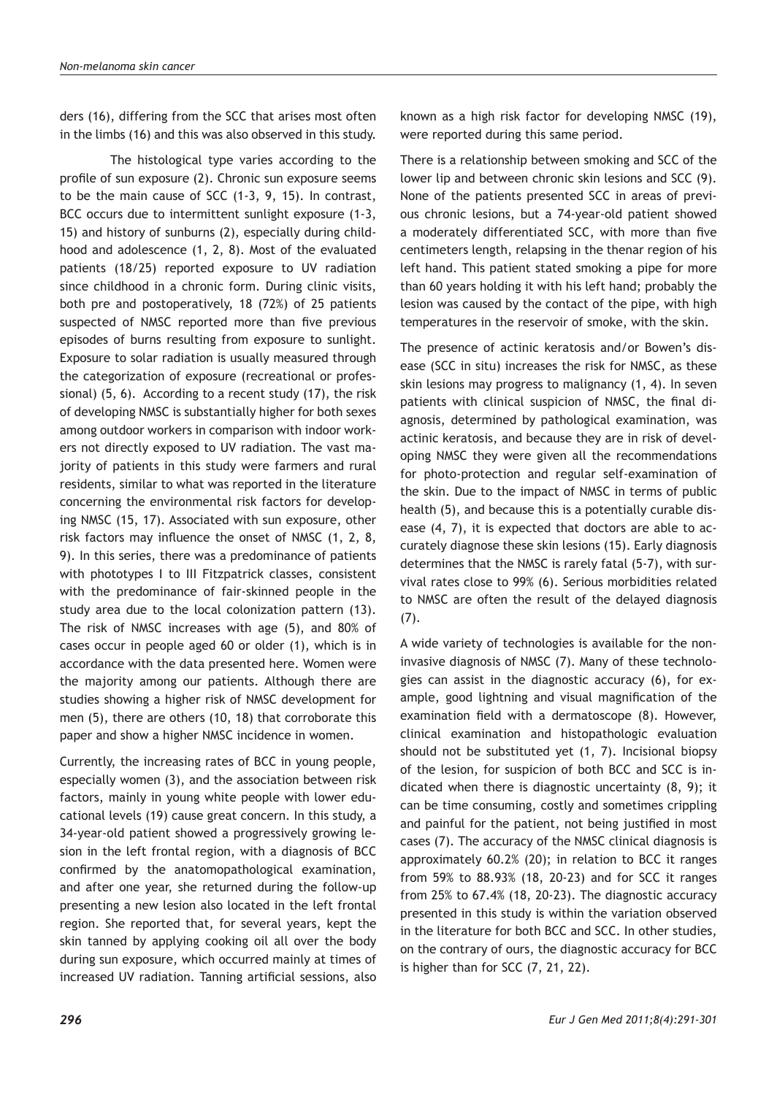ders (16), differing from the SCC that arises most often in the limbs (16) and this was also observed in this study.

The histological type varies according to the profile of sun exposure (2). Chronic sun exposure seems to be the main cause of SCC (1-3, 9, 15). In contrast, BCC occurs due to intermittent sunlight exposure (1-3, 15) and history of sunburns (2), especially during childhood and adolescence (1, 2, 8). Most of the evaluated patients (18/25) reported exposure to UV radiation since childhood in a chronic form. During clinic visits, both pre and postoperatively, 18 (72%) of 25 patients suspected of NMSC reported more than five previous episodes of burns resulting from exposure to sunlight. Exposure to solar radiation is usually measured through the categorization of exposure (recreational or professional) (5, 6). According to a recent study (17), the risk of developing NMSC is substantially higher for both sexes among outdoor workers in comparison with indoor workers not directly exposed to UV radiation. The vast majority of patients in this study were farmers and rural residents, similar to what was reported in the literature concerning the environmental risk factors for developing NMSC (15, 17). Associated with sun exposure, other risk factors may influence the onset of NMSC (1, 2, 8, 9). In this series, there was a predominance of patients with phototypes I to III Fitzpatrick classes, consistent with the predominance of fair-skinned people in the study area due to the local colonization pattern (13). The risk of NMSC increases with age (5), and 80% of cases occur in people aged 60 or older (1), which is in accordance with the data presented here. Women were the majority among our patients. Although there are studies showing a higher risk of NMSC development for men (5), there are others (10, 18) that corroborate this paper and show a higher NMSC incidence in women.

Currently, the increasing rates of BCC in young people, especially women (3), and the association between risk factors, mainly in young white people with lower educational levels (19) cause great concern. In this study, a 34-year-old patient showed a progressively growing lesion in the left frontal region, with a diagnosis of BCC confirmed by the anatomopathological examination, and after one year, she returned during the follow-up presenting a new lesion also located in the left frontal region. She reported that, for several years, kept the skin tanned by applying cooking oil all over the body during sun exposure, which occurred mainly at times of increased UV radiation. Tanning artificial sessions, also

known as a high risk factor for developing NMSC (19), were reported during this same period.

There is a relationship between smoking and SCC of the lower lip and between chronic skin lesions and SCC (9). None of the patients presented SCC in areas of previous chronic lesions, but a 74-year-old patient showed a moderately differentiated SCC, with more than five centimeters length, relapsing in the thenar region of his left hand. This patient stated smoking a pipe for more than 60 years holding it with his left hand; probably the lesion was caused by the contact of the pipe, with high temperatures in the reservoir of smoke, with the skin.

The presence of actinic keratosis and/or Bowen's disease (SCC in situ) increases the risk for NMSC, as these skin lesions may progress to malignancy (1, 4). In seven patients with clinical suspicion of NMSC, the final diagnosis, determined by pathological examination, was actinic keratosis, and because they are in risk of developing NMSC they were given all the recommendations for photo-protection and regular self-examination of the skin. Due to the impact of NMSC in terms of public health (5), and because this is a potentially curable disease (4, 7), it is expected that doctors are able to accurately diagnose these skin lesions (15). Early diagnosis determines that the NMSC is rarely fatal (5-7), with survival rates close to 99% (6). Serious morbidities related to NMSC are often the result of the delayed diagnosis (7).

A wide variety of technologies is available for the noninvasive diagnosis of NMSC (7). Many of these technologies can assist in the diagnostic accuracy (6), for example, good lightning and visual magnification of the examination field with a dermatoscope (8). However, clinical examination and histopathologic evaluation should not be substituted yet (1, 7). Incisional biopsy of the lesion, for suspicion of both BCC and SCC is indicated when there is diagnostic uncertainty (8, 9); it can be time consuming, costly and sometimes crippling and painful for the patient, not being justified in most cases (7). The accuracy of the NMSC clinical diagnosis is approximately 60.2% (20); in relation to BCC it ranges from 59% to 88.93% (18, 20-23) and for SCC it ranges from 25% to 67.4% (18, 20-23). The diagnostic accuracy presented in this study is within the variation observed in the literature for both BCC and SCC. In other studies, on the contrary of ours, the diagnostic accuracy for BCC is higher than for SCC (7, 21, 22).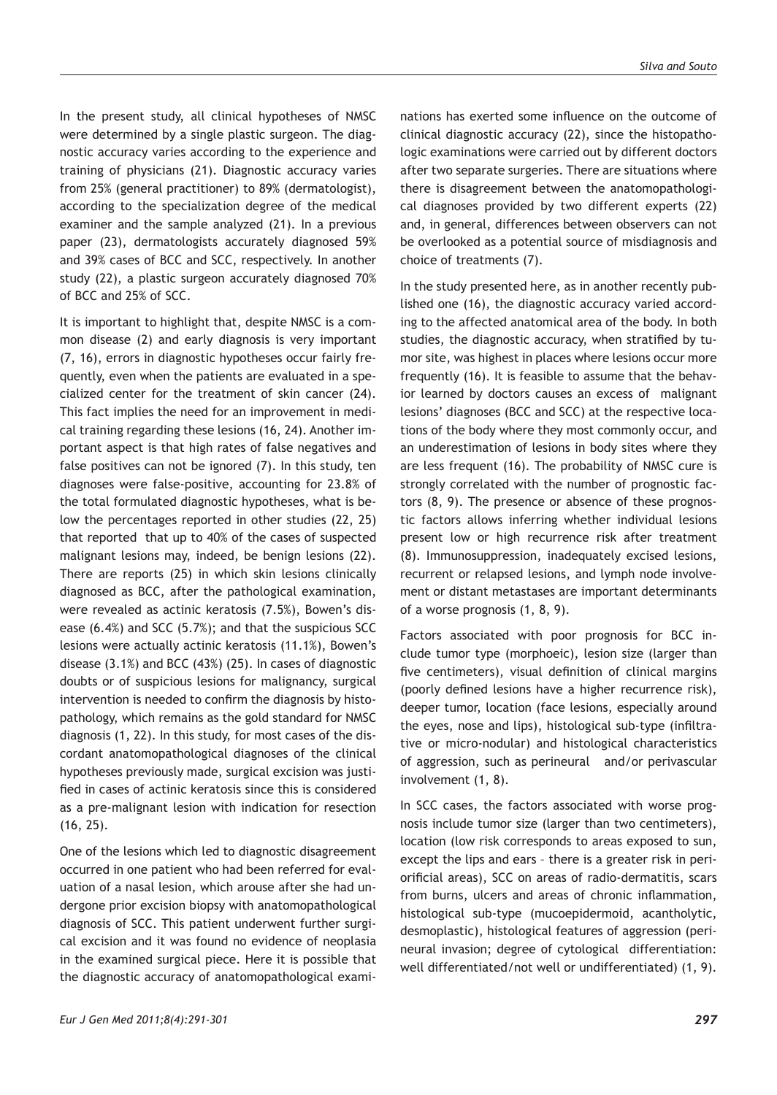In the present study, all clinical hypotheses of NMSC were determined by a single plastic surgeon. The diagnostic accuracy varies according to the experience and training of physicians (21). Diagnostic accuracy varies from 25% (general practitioner) to 89% (dermatologist), according to the specialization degree of the medical examiner and the sample analyzed (21). In a previous paper (23), dermatologists accurately diagnosed 59% and 39% cases of BCC and SCC, respectively. In another study (22), a plastic surgeon accurately diagnosed 70% of BCC and 25% of SCC.

It is important to highlight that, despite NMSC is a common disease (2) and early diagnosis is very important (7, 16), errors in diagnostic hypotheses occur fairly frequently, even when the patients are evaluated in a specialized center for the treatment of skin cancer (24). This fact implies the need for an improvement in medical training regarding these lesions (16, 24). Another important aspect is that high rates of false negatives and false positives can not be ignored (7). In this study, ten diagnoses were false-positive, accounting for 23.8% of the total formulated diagnostic hypotheses, what is below the percentages reported in other studies (22, 25) that reported that up to 40% of the cases of suspected malignant lesions may, indeed, be benign lesions (22). There are reports (25) in which skin lesions clinically diagnosed as BCC, after the pathological examination, were revealed as actinic keratosis (7.5%), Bowen's disease (6.4%) and SCC (5.7%); and that the suspicious SCC lesions were actually actinic keratosis (11.1%), Bowen's disease (3.1%) and BCC (43%) (25). In cases of diagnostic doubts or of suspicious lesions for malignancy, surgical intervention is needed to confirm the diagnosis by histopathology, which remains as the gold standard for NMSC diagnosis (1, 22). In this study, for most cases of the discordant anatomopathological diagnoses of the clinical hypotheses previously made, surgical excision was justified in cases of actinic keratosis since this is considered as a pre-malignant lesion with indication for resection (16, 25).

One of the lesions which led to diagnostic disagreement occurred in one patient who had been referred for evaluation of a nasal lesion, which arouse after she had undergone prior excision biopsy with anatomopathological diagnosis of SCC. This patient underwent further surgical excision and it was found no evidence of neoplasia in the examined surgical piece. Here it is possible that the diagnostic accuracy of anatomopathological exami-

nations has exerted some influence on the outcome of clinical diagnostic accuracy (22), since the histopathologic examinations were carried out by different doctors after two separate surgeries. There are situations where there is disagreement between the anatomopathological diagnoses provided by two different experts (22) and, in general, differences between observers can not be overlooked as a potential source of misdiagnosis and choice of treatments (7).

In the study presented here, as in another recently published one (16), the diagnostic accuracy varied according to the affected anatomical area of the body. In both studies, the diagnostic accuracy, when stratified by tumor site, was highest in places where lesions occur more frequently (16). It is feasible to assume that the behavior learned by doctors causes an excess of malignant lesions' diagnoses (BCC and SCC) at the respective locations of the body where they most commonly occur, and an underestimation of lesions in body sites where they are less frequent (16). The probability of NMSC cure is strongly correlated with the number of prognostic factors (8, 9). The presence or absence of these prognostic factors allows inferring whether individual lesions present low or high recurrence risk after treatment (8). Immunosuppression, inadequately excised lesions, recurrent or relapsed lesions, and lymph node involvement or distant metastases are important determinants of a worse prognosis (1, 8, 9).

Factors associated with poor prognosis for BCC include tumor type (morphoeic), lesion size (larger than five centimeters), visual definition of clinical margins (poorly defined lesions have a higher recurrence risk), deeper tumor, location (face lesions, especially around the eyes, nose and lips), histological sub-type (infiltrative or micro-nodular) and histological characteristics of aggression, such as perineural and/or perivascular involvement (1, 8).

In SCC cases, the factors associated with worse prognosis include tumor size (larger than two centimeters), location (low risk corresponds to areas exposed to sun, except the lips and ears – there is a greater risk in periorificial areas), SCC on areas of radio-dermatitis, scars from burns, ulcers and areas of chronic inflammation, histological sub-type (mucoepidermoid, acantholytic, desmoplastic), histological features of aggression (perineural invasion; degree of cytological differentiation: well differentiated/not well or undifferentiated) (1, 9).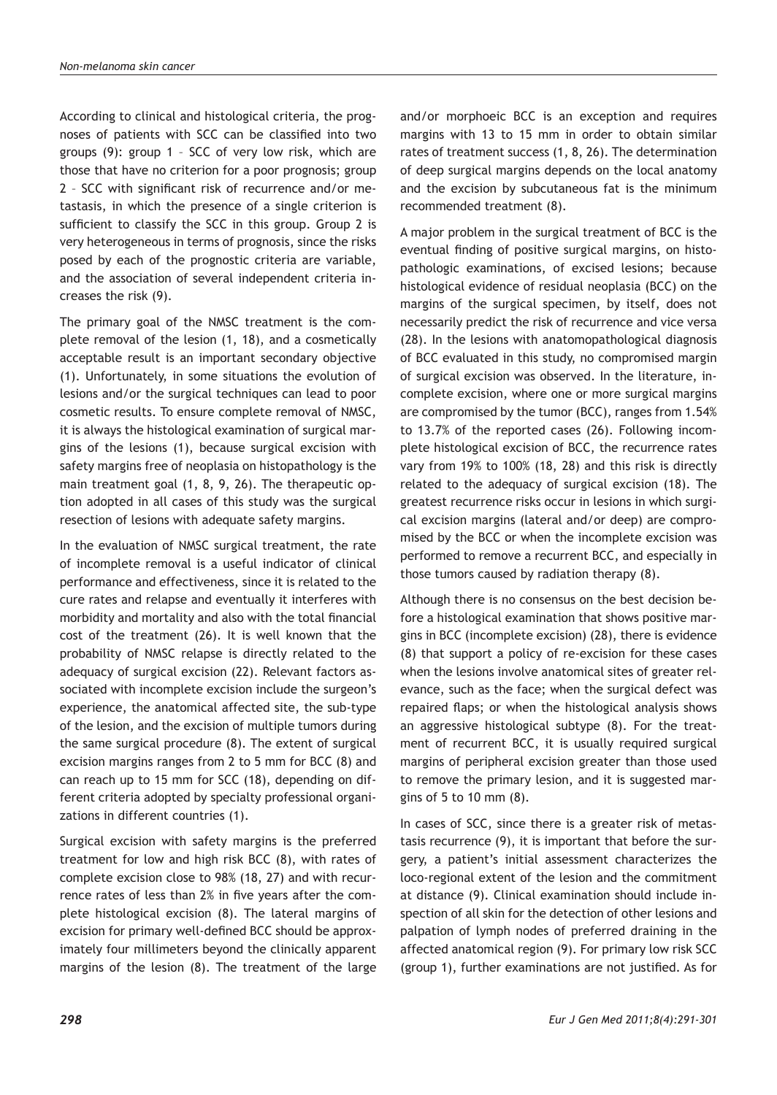According to clinical and histological criteria, the prognoses of patients with SCC can be classified into two groups (9): group 1 – SCC of very low risk, which are those that have no criterion for a poor prognosis; group 2 – SCC with significant risk of recurrence and/or metastasis, in which the presence of a single criterion is sufficient to classify the SCC in this group. Group 2 is very heterogeneous in terms of prognosis, since the risks posed by each of the prognostic criteria are variable, and the association of several independent criteria increases the risk (9).

The primary goal of the NMSC treatment is the complete removal of the lesion (1, 18), and a cosmetically acceptable result is an important secondary objective (1). Unfortunately, in some situations the evolution of lesions and/or the surgical techniques can lead to poor cosmetic results. To ensure complete removal of NMSC, it is always the histological examination of surgical margins of the lesions (1), because surgical excision with safety margins free of neoplasia on histopathology is the main treatment goal (1, 8, 9, 26). The therapeutic option adopted in all cases of this study was the surgical resection of lesions with adequate safety margins.

In the evaluation of NMSC surgical treatment, the rate of incomplete removal is a useful indicator of clinical performance and effectiveness, since it is related to the cure rates and relapse and eventually it interferes with morbidity and mortality and also with the total financial cost of the treatment (26). It is well known that the probability of NMSC relapse is directly related to the adequacy of surgical excision (22). Relevant factors associated with incomplete excision include the surgeon's experience, the anatomical affected site, the sub-type of the lesion, and the excision of multiple tumors during the same surgical procedure (8). The extent of surgical excision margins ranges from 2 to 5 mm for BCC (8) and can reach up to 15 mm for SCC (18), depending on different criteria adopted by specialty professional organizations in different countries (1).

Surgical excision with safety margins is the preferred treatment for low and high risk BCC (8), with rates of complete excision close to 98% (18, 27) and with recurrence rates of less than 2% in five years after the complete histological excision (8). The lateral margins of excision for primary well-defined BCC should be approximately four millimeters beyond the clinically apparent margins of the lesion (8). The treatment of the large

and/or morphoeic BCC is an exception and requires margins with 13 to 15 mm in order to obtain similar rates of treatment success (1, 8, 26). The determination of deep surgical margins depends on the local anatomy and the excision by subcutaneous fat is the minimum recommended treatment (8).

A major problem in the surgical treatment of BCC is the eventual finding of positive surgical margins, on histopathologic examinations, of excised lesions; because histological evidence of residual neoplasia (BCC) on the margins of the surgical specimen, by itself, does not necessarily predict the risk of recurrence and vice versa (28). In the lesions with anatomopathological diagnosis of BCC evaluated in this study, no compromised margin of surgical excision was observed. In the literature, incomplete excision, where one or more surgical margins are compromised by the tumor (BCC), ranges from 1.54% to 13.7% of the reported cases (26). Following incomplete histological excision of BCC, the recurrence rates vary from 19% to 100% (18, 28) and this risk is directly related to the adequacy of surgical excision (18). The greatest recurrence risks occur in lesions in which surgical excision margins (lateral and/or deep) are compromised by the BCC or when the incomplete excision was performed to remove a recurrent BCC, and especially in those tumors caused by radiation therapy (8).

Although there is no consensus on the best decision before a histological examination that shows positive margins in BCC (incomplete excision) (28), there is evidence (8) that support a policy of re-excision for these cases when the lesions involve anatomical sites of greater relevance, such as the face; when the surgical defect was repaired flaps; or when the histological analysis shows an aggressive histological subtype (8). For the treatment of recurrent BCC, it is usually required surgical margins of peripheral excision greater than those used to remove the primary lesion, and it is suggested margins of 5 to 10 mm (8).

In cases of SCC, since there is a greater risk of metastasis recurrence (9), it is important that before the surgery, a patient's initial assessment characterizes the loco-regional extent of the lesion and the commitment at distance (9). Clinical examination should include inspection of all skin for the detection of other lesions and palpation of lymph nodes of preferred draining in the affected anatomical region (9). For primary low risk SCC (group 1), further examinations are not justified. As for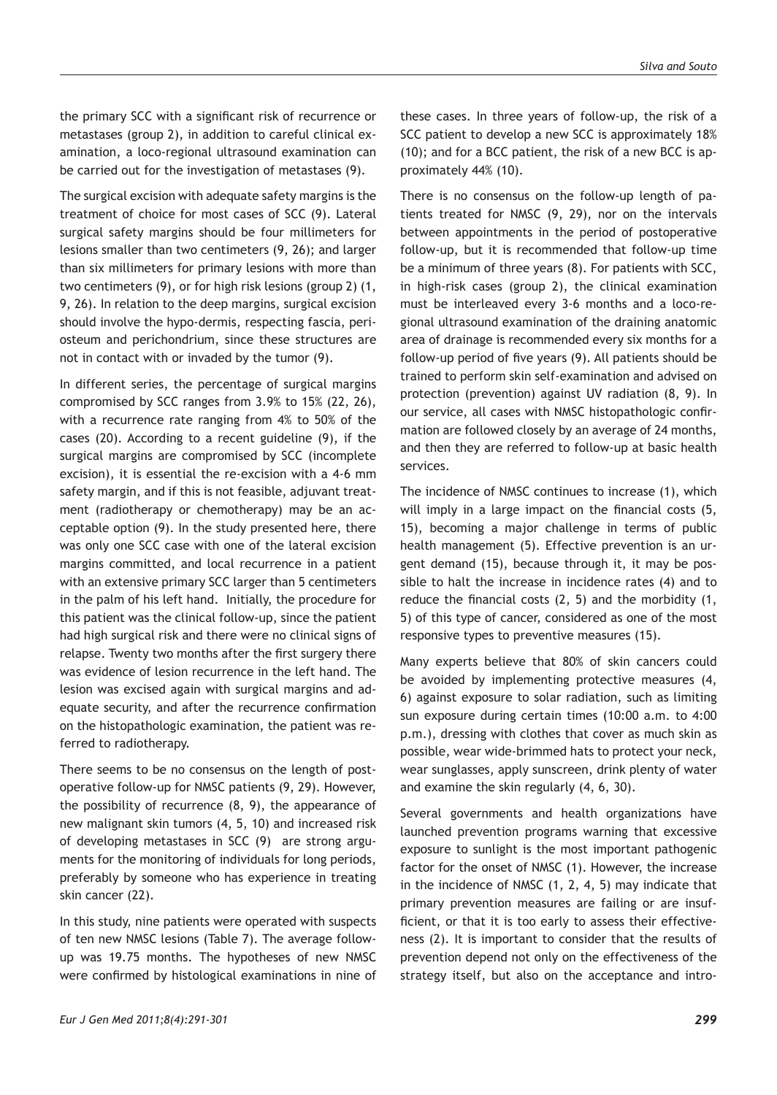the primary SCC with a significant risk of recurrence or metastases (group 2), in addition to careful clinical examination, a loco-regional ultrasound examination can be carried out for the investigation of metastases (9).

The surgical excision with adequate safety margins is the treatment of choice for most cases of SCC (9). Lateral surgical safety margins should be four millimeters for lesions smaller than two centimeters (9, 26); and larger than six millimeters for primary lesions with more than two centimeters (9), or for high risk lesions (group 2) (1, 9, 26). In relation to the deep margins, surgical excision should involve the hypo-dermis, respecting fascia, periosteum and perichondrium, since these structures are not in contact with or invaded by the tumor (9).

In different series, the percentage of surgical margins compromised by SCC ranges from 3.9% to 15% (22, 26), with a recurrence rate ranging from 4% to 50% of the cases (20). According to a recent guideline (9), if the surgical margins are compromised by SCC (incomplete excision), it is essential the re-excision with a 4-6 mm safety margin, and if this is not feasible, adjuvant treatment (radiotherapy or chemotherapy) may be an acceptable option (9). In the study presented here, there was only one SCC case with one of the lateral excision margins committed, and local recurrence in a patient with an extensive primary SCC larger than 5 centimeters in the palm of his left hand. Initially, the procedure for this patient was the clinical follow-up, since the patient had high surgical risk and there were no clinical signs of relapse. Twenty two months after the first surgery there was evidence of lesion recurrence in the left hand. The lesion was excised again with surgical margins and adequate security, and after the recurrence confirmation on the histopathologic examination, the patient was referred to radiotherapy.

There seems to be no consensus on the length of postoperative follow-up for NMSC patients (9, 29). However, the possibility of recurrence (8, 9), the appearance of new malignant skin tumors (4, 5, 10) and increased risk of developing metastases in SCC (9) are strong arguments for the monitoring of individuals for long periods, preferably by someone who has experience in treating skin cancer (22).

In this study, nine patients were operated with suspects of ten new NMSC lesions (Table 7). The average followup was 19.75 months. The hypotheses of new NMSC were confirmed by histological examinations in nine of these cases. In three years of follow-up, the risk of a SCC patient to develop a new SCC is approximately 18% (10); and for a BCC patient, the risk of a new BCC is approximately 44% (10).

There is no consensus on the follow-up length of patients treated for NMSC (9, 29), nor on the intervals between appointments in the period of postoperative follow-up, but it is recommended that follow-up time be a minimum of three years (8). For patients with SCC, in high-risk cases (group 2), the clinical examination must be interleaved every 3-6 months and a loco-regional ultrasound examination of the draining anatomic area of drainage is recommended every six months for a follow-up period of five years (9). All patients should be trained to perform skin self-examination and advised on protection (prevention) against UV radiation (8, 9). In our service, all cases with NMSC histopathologic confirmation are followed closely by an average of 24 months, and then they are referred to follow-up at basic health services.

The incidence of NMSC continues to increase (1), which will imply in a large impact on the financial costs (5, 15), becoming a major challenge in terms of public health management (5). Effective prevention is an urgent demand (15), because through it, it may be possible to halt the increase in incidence rates (4) and to reduce the financial costs (2, 5) and the morbidity (1, 5) of this type of cancer, considered as one of the most responsive types to preventive measures (15).

Many experts believe that 80% of skin cancers could be avoided by implementing protective measures (4, 6) against exposure to solar radiation, such as limiting sun exposure during certain times (10:00 a.m. to 4:00 p.m.), dressing with clothes that cover as much skin as possible, wear wide-brimmed hats to protect your neck, wear sunglasses, apply sunscreen, drink plenty of water and examine the skin regularly (4, 6, 30).

Several governments and health organizations have launched prevention programs warning that excessive exposure to sunlight is the most important pathogenic factor for the onset of NMSC (1). However, the increase in the incidence of NMSC (1, 2, 4, 5) may indicate that primary prevention measures are failing or are insufficient, or that it is too early to assess their effectiveness (2). It is important to consider that the results of prevention depend not only on the effectiveness of the strategy itself, but also on the acceptance and intro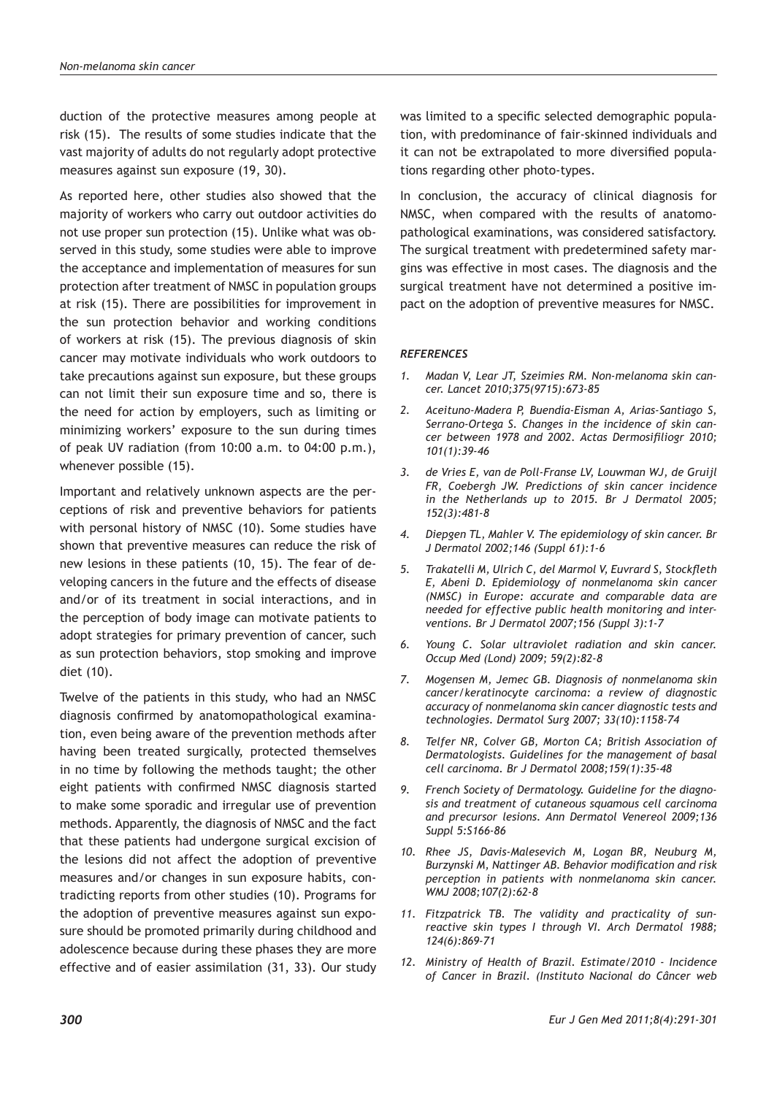duction of the protective measures among people at risk (15). The results of some studies indicate that the vast majority of adults do not regularly adopt protective measures against sun exposure (19, 30).

As reported here, other studies also showed that the majority of workers who carry out outdoor activities do not use proper sun protection (15). Unlike what was observed in this study, some studies were able to improve the acceptance and implementation of measures for sun protection after treatment of NMSC in population groups at risk (15). There are possibilities for improvement in the sun protection behavior and working conditions of workers at risk (15). The previous diagnosis of skin cancer may motivate individuals who work outdoors to take precautions against sun exposure, but these groups can not limit their sun exposure time and so, there is the need for action by employers, such as limiting or minimizing workers' exposure to the sun during times of peak UV radiation (from 10:00 a.m. to 04:00 p.m.), whenever possible (15).

Important and relatively unknown aspects are the perceptions of risk and preventive behaviors for patients with personal history of NMSC (10). Some studies have shown that preventive measures can reduce the risk of new lesions in these patients (10, 15). The fear of developing cancers in the future and the effects of disease and/or of its treatment in social interactions, and in the perception of body image can motivate patients to adopt strategies for primary prevention of cancer, such as sun protection behaviors, stop smoking and improve diet (10).

Twelve of the patients in this study, who had an NMSC diagnosis confirmed by anatomopathological examination, even being aware of the prevention methods after having been treated surgically, protected themselves in no time by following the methods taught; the other eight patients with confirmed NMSC diagnosis started to make some sporadic and irregular use of prevention methods. Apparently, the diagnosis of NMSC and the fact that these patients had undergone surgical excision of the lesions did not affect the adoption of preventive measures and/or changes in sun exposure habits, contradicting reports from other studies (10). Programs for the adoption of preventive measures against sun exposure should be promoted primarily during childhood and adolescence because during these phases they are more effective and of easier assimilation (31, 33). Our study was limited to a specific selected demographic population, with predominance of fair-skinned individuals and it can not be extrapolated to more diversified populations regarding other photo-types.

In conclusion, the accuracy of clinical diagnosis for NMSC, when compared with the results of anatomopathological examinations, was considered satisfactory. The surgical treatment with predetermined safety margins was effective in most cases. The diagnosis and the surgical treatment have not determined a positive impact on the adoption of preventive measures for NMSC.

#### *REFERENCES*

- *1. Madan V, Lear JT, Szeimies RM. Non-melanoma skin cancer. Lancet 2010;375(9715):673-85*
- *2. Aceituno-Madera P, Buendía-Eisman A, Arias-Santiago S, Serrano-Ortega S. Changes in the incidence of skin cancer between 1978 and 2002. Actas Dermosifiliogr 2010; 101(1):39-46*
- *3. de Vries E, van de Poll-Franse LV, Louwman WJ, de Gruijl FR, Coebergh JW. Predictions of skin cancer incidence in the Netherlands up to 2015. Br J Dermatol 2005; 152(3):481-8*
- *4. Diepgen TL, Mahler V. The epidemiology of skin cancer. Br J Dermatol 2002;146 (Suppl 61):1-6*
- *5. Trakatelli M, Ulrich C, del Marmol V, Euvrard S, Stockfleth E, Abeni D. Epidemiology of nonmelanoma skin cancer (NMSC) in Europe: accurate and comparable data are needed for effective public health monitoring and interventions. Br J Dermatol 2007;156 (Suppl 3):1-7*
- *6. Young C. Solar ultraviolet radiation and skin cancer. Occup Med (Lond) 2009; 59(2):82-8*
- *7. Mogensen M, Jemec GB. Diagnosis of nonmelanoma skin cancer/keratinocyte carcinoma: a review of diagnostic accuracy of nonmelanoma skin cancer diagnostic tests and technologies. Dermatol Surg 2007; 33(10):1158-74*
- *8. Telfer NR, Colver GB, Morton CA; British Association of Dermatologists. Guidelines for the management of basal cell carcinoma. Br J Dermatol 2008;159(1):35-48*
- *9. French Society of Dermatology. Guideline for the diagnosis and treatment of cutaneous squamous cell carcinoma and precursor lesions. Ann Dermatol Venereol 2009;136 Suppl 5:S166-86*
- *10. Rhee JS, Davis-Malesevich M, Logan BR, Neuburg M, Burzynski M, Nattinger AB. Behavior modification and risk perception in patients with nonmelanoma skin cancer. WMJ 2008;107(2):62-8*
- *11. Fitzpatrick TB. The validity and practicality of sunreactive skin types I through VI. Arch Dermatol 1988; 124(6):869-71*
- *12. Ministry of Health of Brazil. Estimate/2010 Incidence of Cancer in Brazil. (Instituto Nacional do Câncer web*